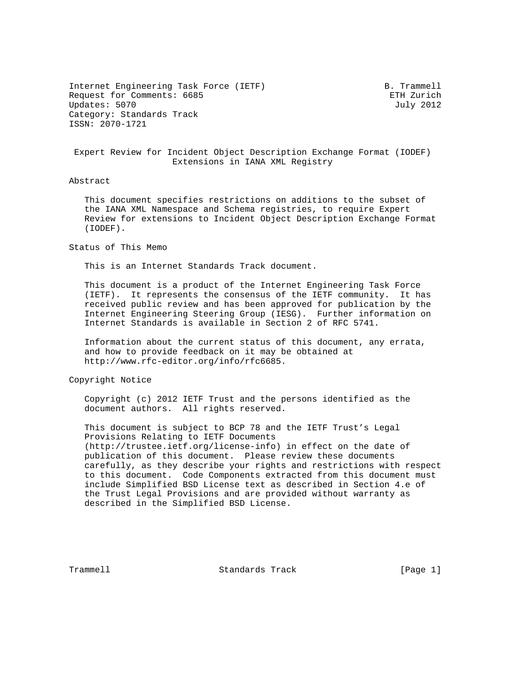Internet Engineering Task Force (IETF) B. Trammell Request for Comments: 6685 ETH Zurich Updates: 5070 July 2012 Category: Standards Track ISSN: 2070-1721

 Expert Review for Incident Object Description Exchange Format (IODEF) Extensions in IANA XML Registry

## Abstract

 This document specifies restrictions on additions to the subset of the IANA XML Namespace and Schema registries, to require Expert Review for extensions to Incident Object Description Exchange Format (IODEF).

Status of This Memo

This is an Internet Standards Track document.

 This document is a product of the Internet Engineering Task Force (IETF). It represents the consensus of the IETF community. It has received public review and has been approved for publication by the Internet Engineering Steering Group (IESG). Further information on Internet Standards is available in Section 2 of RFC 5741.

 Information about the current status of this document, any errata, and how to provide feedback on it may be obtained at http://www.rfc-editor.org/info/rfc6685.

Copyright Notice

 Copyright (c) 2012 IETF Trust and the persons identified as the document authors. All rights reserved.

 This document is subject to BCP 78 and the IETF Trust's Legal Provisions Relating to IETF Documents (http://trustee.ietf.org/license-info) in effect on the date of publication of this document. Please review these documents carefully, as they describe your rights and restrictions with respect to this document. Code Components extracted from this document must include Simplified BSD License text as described in Section 4.e of the Trust Legal Provisions and are provided without warranty as described in the Simplified BSD License.

Trammell **Standards Track** [Page 1]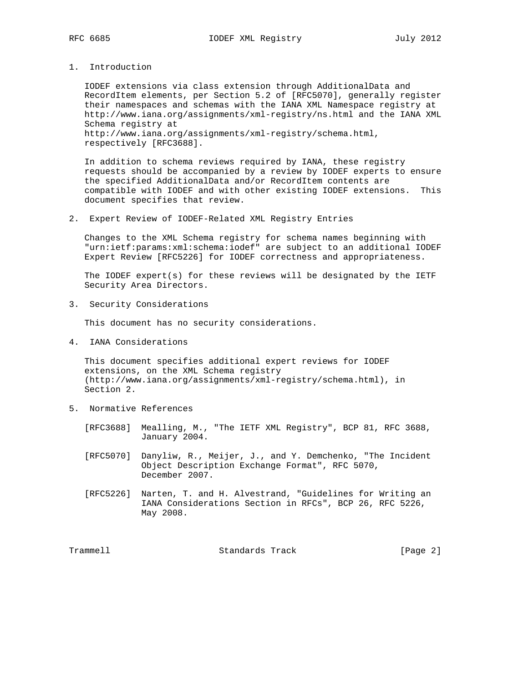1. Introduction

 IODEF extensions via class extension through AdditionalData and RecordItem elements, per Section 5.2 of [RFC5070], generally register their namespaces and schemas with the IANA XML Namespace registry at http://www.iana.org/assignments/xml-registry/ns.html and the IANA XML Schema registry at http://www.iana.org/assignments/xml-registry/schema.html, respectively [RFC3688].

 In addition to schema reviews required by IANA, these registry requests should be accompanied by a review by IODEF experts to ensure the specified AdditionalData and/or RecordItem contents are compatible with IODEF and with other existing IODEF extensions. This document specifies that review.

2. Expert Review of IODEF-Related XML Registry Entries

 Changes to the XML Schema registry for schema names beginning with "urn:ietf:params:xml:schema:iodef" are subject to an additional IODEF Expert Review [RFC5226] for IODEF correctness and appropriateness.

 The IODEF expert(s) for these reviews will be designated by the IETF Security Area Directors.

3. Security Considerations

This document has no security considerations.

4. IANA Considerations

 This document specifies additional expert reviews for IODEF extensions, on the XML Schema registry (http://www.iana.org/assignments/xml-registry/schema.html), in Section 2.

- 5. Normative References
	- [RFC3688] Mealling, M., "The IETF XML Registry", BCP 81, RFC 3688, January 2004.
	- [RFC5070] Danyliw, R., Meijer, J., and Y. Demchenko, "The Incident Object Description Exchange Format", RFC 5070, December 2007.
	- [RFC5226] Narten, T. and H. Alvestrand, "Guidelines for Writing an IANA Considerations Section in RFCs", BCP 26, RFC 5226, May 2008.

Trammell **Standards Track** [Page 2]